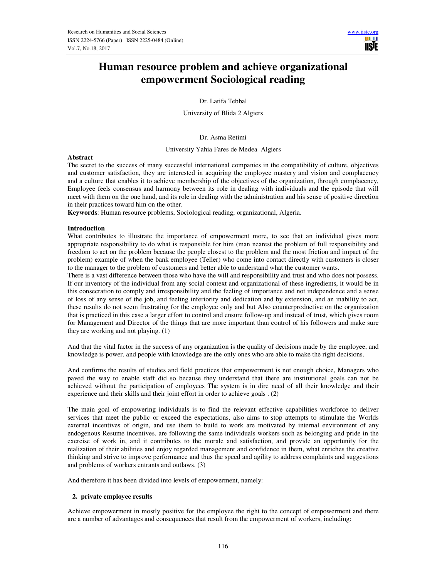

# **Human resource problem and achieve organizational empowerment Sociological reading**

Dr. Latifa Tebbal

University of Blida 2 Algiers

Dr. Asma Retimi

University Yahia Fares de Medea Algiers

## **Abstract**

The secret to the success of many successful international companies in the compatibility of culture, objectives and customer satisfaction, they are interested in acquiring the employee mastery and vision and complacency and a culture that enables it to achieve membership of the objectives of the organization, through complacency, Employee feels consensus and harmony between its role in dealing with individuals and the episode that will meet with them on the one hand, and its role in dealing with the administration and his sense of positive direction in their practices toward him on the other.

**Keywords**: Human resource problems, Sociological reading, organizational, Algeria.

## **Introduction**

What contributes to illustrate the importance of empowerment more, to see that an individual gives more appropriate responsibility to do what is responsible for him (man nearest the problem of full responsibility and freedom to act on the problem because the people closest to the problem and the most friction and impact of the problem) example of when the bank employee (Teller) who come into contact directly with customers is closer to the manager to the problem of customers and better able to understand what the customer wants.

There is a vast difference between those who have the will and responsibility and trust and who does not possess. If our inventory of the individual from any social context and organizational of these ingredients, it would be in this consecration to comply and irresponsibility and the feeling of importance and not independence and a sense of loss of any sense of the job, and feeling inferiority and dedication and by extension, and an inability to act, these results do not seem frustrating for the employee only and but Also counterproductive on the organization that is practiced in this case a larger effort to control and ensure follow-up and instead of trust, which gives room for Management and Director of the things that are more important than control of his followers and make sure they are working and not playing. (1)

And that the vital factor in the success of any organization is the quality of decisions made by the employee, and knowledge is power, and people with knowledge are the only ones who are able to make the right decisions.

And confirms the results of studies and field practices that empowerment is not enough choice, Managers who paved the way to enable staff did so because they understand that there are institutional goals can not be achieved without the participation of employees The system is in dire need of all their knowledge and their experience and their skills and their joint effort in order to achieve goals . (2)

The main goal of empowering individuals is to find the relevant effective capabilities workforce to deliver services that meet the public or exceed the expectations, also aims to stop attempts to stimulate the Worlds external incentives of origin, and use them to build to work are motivated by internal environment of any endogenous Resume incentives, are following the same individuals workers such as belonging and pride in the exercise of work in, and it contributes to the morale and satisfaction, and provide an opportunity for the realization of their abilities and enjoy regarded management and confidence in them, what enriches the creative thinking and strive to improve performance and thus the speed and agility to address complaints and suggestions and problems of workers entrants and outlaws. (3)

And therefore it has been divided into levels of empowerment, namely:

# **2. private employee results**

Achieve empowerment in mostly positive for the employee the right to the concept of empowerment and there are a number of advantages and consequences that result from the empowerment of workers, including: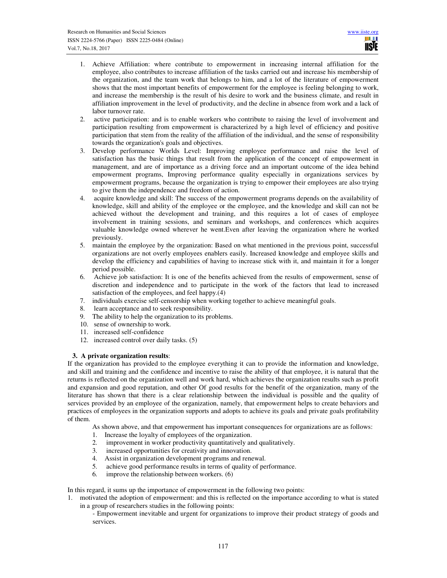- 1. Achieve Affiliation: where contribute to empowerment in increasing internal affiliation for the employee, also contributes to increase affiliation of the tasks carried out and increase his membership of the organization, and the team work that belongs to him, and a lot of the literature of empowerment shows that the most important benefits of empowerment for the employee is feeling belonging to work, and increase the membership is the result of his desire to work and the business climate, and result in affiliation improvement in the level of productivity, and the decline in absence from work and a lack of labor turnover rate.
- 2. active participation: and is to enable workers who contribute to raising the level of involvement and participation resulting from empowerment is characterized by a high level of efficiency and positive participation that stem from the reality of the affiliation of the individual, and the sense of responsibility towards the organization's goals and objectives.
- 3. Develop performance Worlds Level: Improving employee performance and raise the level of satisfaction has the basic things that result from the application of the concept of empowerment in management, and are of importance as a driving force and an important outcome of the idea behind empowerment programs, Improving performance quality especially in organizations services by empowerment programs, because the organization is trying to empower their employees are also trying to give them the independence and freedom of action.
- 4. acquire knowledge and skill: The success of the empowerment programs depends on the availability of knowledge, skill and ability of the employee or the employee, and the knowledge and skill can not be achieved without the development and training, and this requires a lot of cases of employee involvement in training sessions, and seminars and workshops, and conferences which acquires valuable knowledge owned wherever he went.Even after leaving the organization where he worked previously.
- 5. maintain the employee by the organization: Based on what mentioned in the previous point, successful organizations are not overly employees enablers easily. Increased knowledge and employee skills and develop the efficiency and capabilities of having to increase stick with it, and maintain it for a longer period possible.
- 6. Achieve job satisfaction: It is one of the benefits achieved from the results of empowerment, sense of discretion and independence and to participate in the work of the factors that lead to increased satisfaction of the employees, and feel happy.(4)
- 7. individuals exercise self-censorship when working together to achieve meaningful goals.
- 8. learn acceptance and to seek responsibility.
- 9. The ability to help the organization to its problems.
- 10. sense of ownership to work.
- 11. increased self-confidence
- 12. increased control over daily tasks. (5)

# **3. A private organization results**:

If the organization has provided to the employee everything it can to provide the information and knowledge, and skill and training and the confidence and incentive to raise the ability of that employee, it is natural that the returns is reflected on the organization well and work hard, which achieves the organization results such as profit and expansion and good reputation, and other Of good results for the benefit of the organization, many of the literature has shown that there is a clear relationship between the individual is possible and the quality of services provided by an employee of the organization, namely, that empowerment helps to create behaviors and practices of employees in the organization supports and adopts to achieve its goals and private goals profitability of them.

- As shown above, and that empowerment has important consequences for organizations are as follows:
- 1. Increase the loyalty of employees of the organization.
- 2. improvement in worker productivity quantitatively and qualitatively.
- 3. increased opportunities for creativity and innovation.<br>4. Assist in organization development programs and rene
- 4. Assist in organization development programs and renewal.
- 5. achieve good performance results in terms of quality of performance.
- 6. improve the relationship between workers. (6)

In this regard, it sums up the importance of empowerment in the following two points:

- 1. motivated the adoption of empowerment: and this is reflected on the importance according to what is stated in a group of researchers studies in the following points:
	- Empowerment inevitable and urgent for organizations to improve their product strategy of goods and services.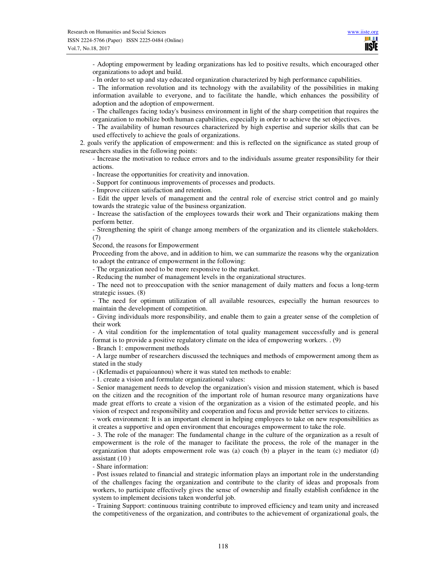- Adopting empowerment by leading organizations has led to positive results, which encouraged other organizations to adopt and build.

- In order to set up and stay educated organization characterized by high performance capabilities.

- The information revolution and its technology with the availability of the possibilities in making information available to everyone, and to facilitate the handle, which enhances the possibility of adoption and the adoption of empowerment.

- The challenges facing today's business environment in light of the sharp competition that requires the organization to mobilize both human capabilities, especially in order to achieve the set objectives.

- The availability of human resources characterized by high expertise and superior skills that can be used effectively to achieve the goals of organizations.

2. goals verify the application of empowerment: and this is reflected on the significance as stated group of researchers studies in the following points:

- Increase the motivation to reduce errors and to the individuals assume greater responsibility for their actions.

- Increase the opportunities for creativity and innovation.

- Support for continuous improvements of processes and products.

- Improve citizen satisfaction and retention.

- Edit the upper levels of management and the central role of exercise strict control and go mainly towards the strategic value of the business organization.

- Increase the satisfaction of the employees towards their work and Their organizations making them perform better.

- Strengthening the spirit of change among members of the organization and its clientele stakeholders. (7)

Second, the reasons for Empowerment

Proceeding from the above, and in addition to him, we can summarize the reasons why the organization to adopt the entrance of empowerment in the following:

- The organization need to be more responsive to the market.

- Reducing the number of management levels in the organizational structures.

- The need not to preoccupation with the senior management of daily matters and focus a long-term strategic issues. (8)

- The need for optimum utilization of all available resources, especially the human resources to maintain the development of competition.

- Giving individuals more responsibility, and enable them to gain a greater sense of the completion of their work

- A vital condition for the implementation of total quality management successfully and is general format is to provide a positive regulatory climate on the idea of empowering workers. . (9)

- Branch 1: empowerment methods

- A large number of researchers discussed the techniques and methods of empowerment among them as stated in the study

- (KrIemadis et papaioannou) where it was stated ten methods to enable:

- 1. create a vision and formulate organizational values:

- Senior management needs to develop the organization's vision and mission statement, which is based on the citizen and the recognition of the important role of human resource many organizations have made great efforts to create a vision of the organization as a vision of the estimated people, and his vision of respect and responsibility and cooperation and focus and provide better services to citizens.

- work environment: It is an important element in helping employees to take on new responsibilities as it creates a supportive and open environment that encourages empowerment to take the role.

- 3. The role of the manager: The fundamental change in the culture of the organization as a result of empowerment is the role of the manager to facilitate the process, the role of the manager in the organization that adopts empowerment role was (a) coach (b) a player in the team (c) mediator (d) assistant (10 )

- Share information:

- Post issues related to financial and strategic information plays an important role in the understanding of the challenges facing the organization and contribute to the clarity of ideas and proposals from workers, to participate effectively gives the sense of ownership and finally establish confidence in the system to implement decisions taken wonderful job.

- Training Support: continuous training contribute to improved efficiency and team unity and increased the competitiveness of the organization, and contributes to the achievement of organizational goals, the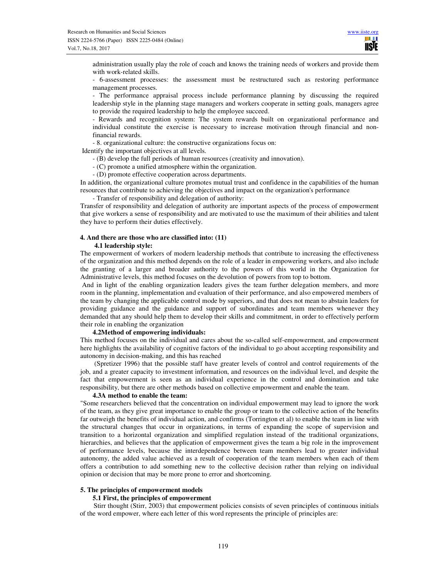administration usually play the role of coach and knows the training needs of workers and provide them with work-related skills.

- 6-assessment processes: the assessment must be restructured such as restoring performance management processes.

- The performance appraisal process include performance planning by discussing the required leadership style in the planning stage managers and workers cooperate in setting goals, managers agree to provide the required leadership to help the employee succeed.

- Rewards and recognition system: The system rewards built on organizational performance and individual constitute the exercise is necessary to increase motivation through financial and nonfinancial rewards.

- 8. organizational culture: the constructive organizations focus on:

Identify the important objectives at all levels.

- (B) develop the full periods of human resources (creativity and innovation).

- (C) promote a unified atmosphere within the organization.

- (D) promote effective cooperation across departments.

In addition, the organizational culture promotes mutual trust and confidence in the capabilities of the human resources that contribute to achieving the objectives and impact on the organization's performance

- Transfer of responsibility and delegation of authority:

Transfer of responsibility and delegation of authority are important aspects of the process of empowerment that give workers a sense of responsibility and are motivated to use the maximum of their abilities and talent they have to perform their duties effectively.

# **4. And there are those who are classified into: (11)**

#### **4.1 leadership style:**

The empowerment of workers of modern leadership methods that contribute to increasing the effectiveness of the organization and this method depends on the role of a leader in empowering workers, and also include the granting of a larger and broader authority to the powers of this world in the Organization for Administrative levels, this method focuses on the devolution of powers from top to bottom.

 And in light of the enabling organization leaders gives the team further delegation members, and more room in the planning, implementation and evaluation of their performance, and also empowered members of the team by changing the applicable control mode by superiors, and that does not mean to abstain leaders for providing guidance and the guidance and support of subordinates and team members whenever they demanded that any should help them to develop their skills and commitment, in order to effectively perform their role in enabling the organization

## **4.2Method of empowering individuals:**

This method focuses on the individual and cares about the so-called self-empowerment, and empowerment here highlights the availability of cognitive factors of the individual to go about accepting responsibility and autonomy in decision-making, and this has reached

 (Spretizer 1996) that the possible staff have greater levels of control and control requirements of the job, and a greater capacity to investment information, and resources on the individual level, and despite the fact that empowerment is seen as an individual experience in the control and domination and take responsibility, but there are other methods based on collective empowerment and enable the team.

#### **4.3A method to enable the team:**

"Some researchers believed that the concentration on individual empowerment may lead to ignore the work of the team, as they give great importance to enable the group or team to the collective action of the benefits far outweigh the benefits of individual action, and confirms (Torrington et al) to enable the team in line with the structural changes that occur in organizations, in terms of expanding the scope of supervision and transition to a horizontal organization and simplified regulation instead of the traditional organizations, hierarchies, and believes that the application of empowerment gives the team a big role in the improvement of performance levels, because the interdependence between team members lead to greater individual autonomy, the added value achieved as a result of cooperation of the team members when each of them offers a contribution to add something new to the collective decision rather than relying on individual opinion or decision that may be more prone to error and shortcoming.

## **5. The principles of empowerment models**

### **5.1 First, the principles of empowerment**

 Stirr thought (Stirr, 2003) that empowerment policies consists of seven principles of continuous initials of the word empower, where each letter of this word represents the principle of principles are: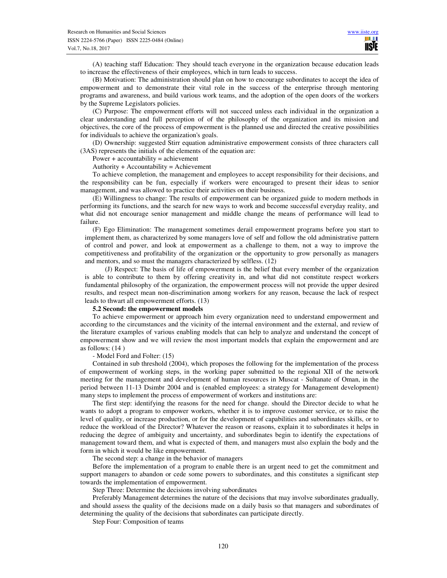(A) teaching staff Education: They should teach everyone in the organization because education leads to increase the effectiveness of their employees, which in turn leads to success.

(B) Motivation: The administration should plan on how to encourage subordinates to accept the idea of empowerment and to demonstrate their vital role in the success of the enterprise through mentoring programs and awareness, and build various work teams, and the adoption of the open doors of the workers by the Supreme Legislators policies.

(C) Purpose: The empowerment efforts will not succeed unless each individual in the organization a clear understanding and full perception of of the philosophy of the organization and its mission and objectives, the core of the process of empowerment is the planned use and directed the creative possibilities for individuals to achieve the organization's goals.

(D) Ownership: suggested Stirr equation administrative empowerment consists of three characters call (3AS) represents the initials of the elements of the equation are:

Power  $+$  accountability  $=$  achievement

Authority + Accountability = Achievement

To achieve completion, the management and employees to accept responsibility for their decisions, and the responsibility can be fun, especially if workers were encouraged to present their ideas to senior management, and was allowed to practice their activities on their business.

(E) Willingness to change: The results of empowerment can be organized guide to modern methods in performing its functions, and the search for new ways to work and become successful everyday reality, and what did not encourage senior management and middle change the means of performance will lead to failure.

(F) Ego Elimination: The management sometimes derail empowerment programs before you start to implement them, as characterized by some managers love of self and follow the old administrative pattern of control and power, and look at empowerment as a challenge to them, not a way to improve the competitiveness and profitability of the organization or the opportunity to grow personally as managers and mentors, and so must the managers characterized by selfless. (12)

(J) Respect: The basis of life of empowerment is the belief that every member of the organization is able to contribute to them by offering creativity in, and what did not constitute respect workers fundamental philosophy of the organization, the empowerment process will not provide the upper desired results, and respect mean non-discrimination among workers for any reason, because the lack of respect leads to thwart all empowerment efforts. (13)

## **5.2 Second: the empowerment models**

To achieve empowerment or approach him every organization need to understand empowerment and according to the circumstances and the vicinity of the internal environment and the external, and review of the literature examples of various enabling models that can help to analyze and understand the concept of empowerment show and we will review the most important models that explain the empowerment and are as follows: (14 )

#### - Model Ford and Folter: (15)

Contained in sub threshold (2004), which proposes the following for the implementation of the process of empowerment of working steps, in the working paper submitted to the regional XII of the network meeting for the management and development of human resources in Muscat - Sultanate of Oman, in the period between 11-13 Dsimbr 2004 and is (enabled employees: a strategy for Management development) many steps to implement the process of empowerment of workers and institutions are:

The first step: identifying the reasons for the need for change. should the Director decide to what he wants to adopt a program to empower workers, whether it is to improve customer service, or to raise the level of quality, or increase production, or for the development of capabilities and subordinates skills, or to reduce the workload of the Director? Whatever the reason or reasons, explain it to subordinates it helps in reducing the degree of ambiguity and uncertainty, and subordinates begin to identify the expectations of management toward them, and what is expected of them, and managers must also explain the body and the form in which it would be like empowerment.

The second step: a change in the behavior of managers

Before the implementation of a program to enable there is an urgent need to get the commitment and support managers to abandon or cede some powers to subordinates, and this constitutes a significant step towards the implementation of empowerment.

Step Three: Determine the decisions involving subordinates

Preferably Management determines the nature of the decisions that may involve subordinates gradually, and should assess the quality of the decisions made on a daily basis so that managers and subordinates of determining the quality of the decisions that subordinates can participate directly.

Step Four: Composition of teams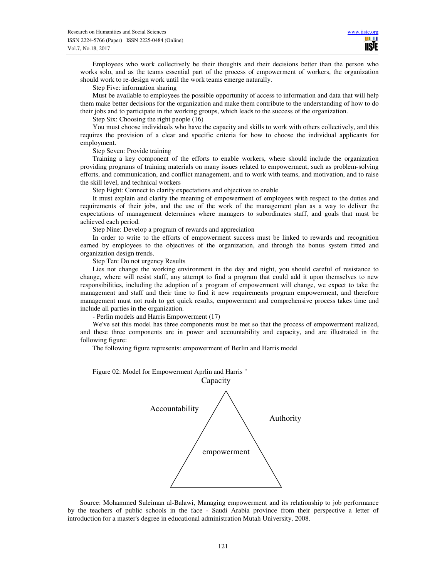Employees who work collectively be their thoughts and their decisions better than the person who works solo, and as the teams essential part of the process of empowerment of workers, the organization should work to re-design work until the work teams emerge naturally.

Step Five: information sharing

Must be available to employees the possible opportunity of access to information and data that will help them make better decisions for the organization and make them contribute to the understanding of how to do their jobs and to participate in the working groups, which leads to the success of the organization.

Step Six: Choosing the right people (16)

You must choose individuals who have the capacity and skills to work with others collectively, and this requires the provision of a clear and specific criteria for how to choose the individual applicants for employment.

Step Seven: Provide training

Training a key component of the efforts to enable workers, where should include the organization providing programs of training materials on many issues related to empowerment, such as problem-solving efforts, and communication, and conflict management, and to work with teams, and motivation, and to raise the skill level, and technical workers

Step Eight: Connect to clarify expectations and objectives to enable

It must explain and clarify the meaning of empowerment of employees with respect to the duties and requirements of their jobs, and the use of the work of the management plan as a way to deliver the expectations of management determines where managers to subordinates staff, and goals that must be achieved each period.

Step Nine: Develop a program of rewards and appreciation

In order to write to the efforts of empowerment success must be linked to rewards and recognition earned by employees to the objectives of the organization, and through the bonus system fitted and organization design trends.

Step Ten: Do not urgency Results

Lies not change the working environment in the day and night, you should careful of resistance to change, where will resist staff, any attempt to find a program that could add it upon themselves to new responsibilities, including the adoption of a program of empowerment will change, we expect to take the management and staff and their time to find it new requirements program empowerment, and therefore management must not rush to get quick results, empowerment and comprehensive process takes time and include all parties in the organization.

- Perlin models and Harris Empowerment (17)

We've set this model has three components must be met so that the process of empowerment realized, and these three components are in power and accountability and capacity, and are illustrated in the following figure:

The following figure represents: empowerment of Berlin and Harris model

Figure 02: Model for Empowerment Aprlin and Harris " Capacity Accountability Authority empowerment

Source: Mohammed Suleiman al-Balawi, Managing empowerment and its relationship to job performance by the teachers of public schools in the face - Saudi Arabia province from their perspective a letter of introduction for a master's degree in educational administration Mutah University, 2008.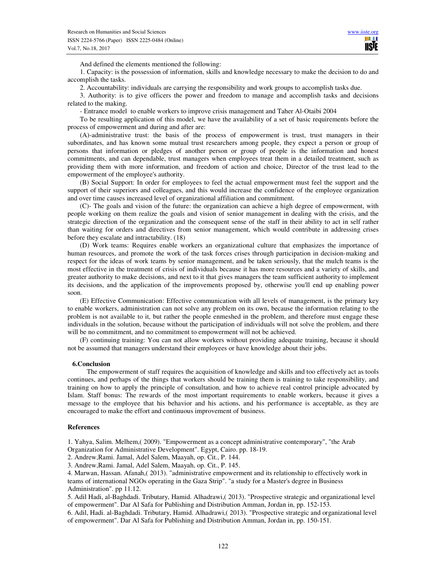**IISIE** 

And defined the elements mentioned the following:

1. Capacity: is the possession of information, skills and knowledge necessary to make the decision to do and accomplish the tasks.

2. Accountability: individuals are carrying the responsibility and work groups to accomplish tasks due.

3. Authority: is to give officers the power and freedom to manage and accomplish tasks and decisions related to the making.

- Entrance model to enable workers to improve crisis management and Taher Al-Otaibi 2004

To be resulting application of this model, we have the availability of a set of basic requirements before the process of empowerment and during and after are:

(A)-administrative trust: the basis of the process of empowerment is trust, trust managers in their subordinates, and has known some mutual trust researchers among people, they expect a person or group of persons that information or pledges of another person or group of people is the information and honest commitments, and can dependable, trust managers when employees treat them in a detailed treatment, such as providing them with more information, and freedom of action and choice, Director of the trust lead to the empowerment of the employee's authority.

(B) Social Support: In order for employees to feel the actual empowerment must feel the support and the support of their superiors and colleagues, and this would increase the confidence of the employee organization and over time causes increased level of organizational affiliation and commitment.

(C)- The goals and vision of the future: the organization can achieve a high degree of empowerment, with people working on them realize the goals and vision of senior management in dealing with the crisis, and the strategic direction of the organization and the consequent sense of the staff in their ability to act in self rather than waiting for orders and directives from senior management, which would contribute in addressing crises before they escalate and intractability. (18)

(D) Work teams: Requires enable workers an organizational culture that emphasizes the importance of human resources, and promote the work of the task forces crises through participation in decision-making and respect for the ideas of work teams by senior management, and be taken seriously, that the mulch teams is the most effective in the treatment of crisis of individuals because it has more resources and a variety of skills, and greater authority to make decisions, and next to it that gives managers the team sufficient authority to implement its decisions, and the application of the improvements proposed by, otherwise you'll end up enabling power soon.

(E) Effective Communication: Effective communication with all levels of management, is the primary key to enable workers, administration can not solve any problem on its own, because the information relating to the problem is not available to it, but rather the people enmeshed in the problem, and therefore must engage these individuals in the solution, because without the participation of individuals will not solve the problem, and there will be no commitment, and no commitment to empowerment will not be achieved.

(F) continuing training: You can not allow workers without providing adequate training, because it should not be assumed that managers understand their employees or have knowledge about their jobs.

#### **6.Conclusion**

 The empowerment of staff requires the acquisition of knowledge and skills and too effectively act as tools continues, and perhaps of the things that workers should be training them is training to take responsibility, and training on how to apply the principle of consultation, and how to achieve real control principle advocated by Islam. Staff bonus: The rewards of the most important requirements to enable workers, because it gives a message to the employee that his behavior and his actions, and his performance is acceptable, as they are encouraged to make the effort and continuous improvement of business.

## **References**

1. Yahya, Salim. Melhem,( 2009). "Empowerment as a concept administrative contemporary", "the Arab Organization for Administrative Development". Egypt, Cairo. pp. 18-19.

2. Andrew,Rami. Jamal, Adel Salem, Maayah, op. Cit., P. 144.

3. Andrew,Rami. Jamal, Adel Salem, Maayah, op. Cit., P. 145.

4. Marwan, Hassan. Afanah,( 2013). "administrative empowerment and its relationship to effectively work in teams of international NGOs operating in the Gaza Strip". "a study for a Master's degree in Business Administration". pp 11.12.

5. Adil Hadi, al-Baghdadi. Tributary, Hamid. Alhadrawi,( 2013). "Prospective strategic and organizational level of empowerment". Dar Al Safa for Publishing and Distribution Amman, Jordan in, pp. 152-153.

6. Adil, Hadi. al-Baghdadi. Tributary, Hamid. Alhadrawi,( 2013). "Prospective strategic and organizational level of empowerment". Dar Al Safa for Publishing and Distribution Amman, Jordan in, pp. 150-151.